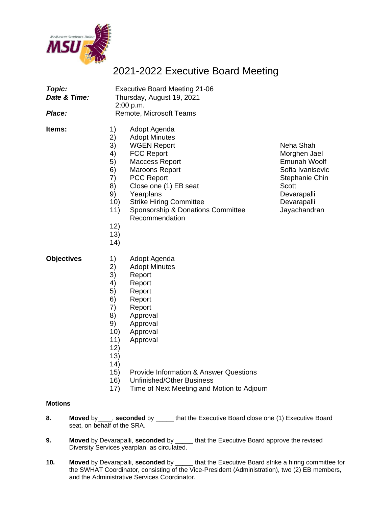

## 2021-2022 Executive Board Meeting

| Topic:<br>Date & Time:<br>Place: | <b>Executive Board Meeting 21-06</b><br>Thursday, August 19, 2021<br>2:00 p.m.<br>Remote, Microsoft Teams                                                                                                                                                                                                                                                               |                                                                                                                                               |
|----------------------------------|-------------------------------------------------------------------------------------------------------------------------------------------------------------------------------------------------------------------------------------------------------------------------------------------------------------------------------------------------------------------------|-----------------------------------------------------------------------------------------------------------------------------------------------|
| ltems:                           | 1)<br>Adopt Agenda<br>2)<br><b>Adopt Minutes</b><br>3)<br><b>WGEN Report</b><br><b>FCC Report</b><br>4)<br>5)<br>Maccess Report<br>6)<br><b>Maroons Report</b><br>7)<br><b>PCC Report</b><br>8)<br>Close one (1) EB seat<br>9)<br>Yearplans<br>10)<br><b>Strike Hiring Committee</b><br>Sponsorship & Donations Committee<br>11)<br>Recommendation<br>12)<br>13)<br>14) | Neha Shah<br>Morghen Jael<br>Emunah Woolf<br>Sofia Ivanisevic<br>Stephanie Chin<br><b>Scott</b><br>Devarapalli<br>Devarapalli<br>Jayachandran |
| <b>Objectives</b>                | 1)<br>Adopt Agenda<br>2)<br><b>Adopt Minutes</b><br>3)<br>Report<br>4)<br>Report<br>5)<br>Report<br>6)<br>Report<br>7)<br>Report<br>8)<br>Approval<br>9)<br>Approval<br>10)<br>Approval<br>11)<br>Approval<br>12)<br>13)<br>14)                                                                                                                                         |                                                                                                                                               |

- 15) Provide Information & Answer Questions
- 16) Unfinished/Other Business
- 17) Time of Next Meeting and Motion to Adjourn

## **Motions**

- **8. Moved** by\_\_\_\_, **seconded** by \_\_\_\_\_ that the Executive Board close one (1) Executive Board seat, on behalf of the SRA.
- **9. Moved** by Devarapalli, **seconded** by \_\_\_\_\_ that the Executive Board approve the revised Diversity Services yearplan, as circulated.
- **10. Moved** by Devarapalli, **seconded** by \_\_\_\_\_ that the Executive Board strike a hiring committee for the SWHAT Coordinator, consisting of the Vice-President (Administration), two (2) EB members, and the Administrative Services Coordinator.